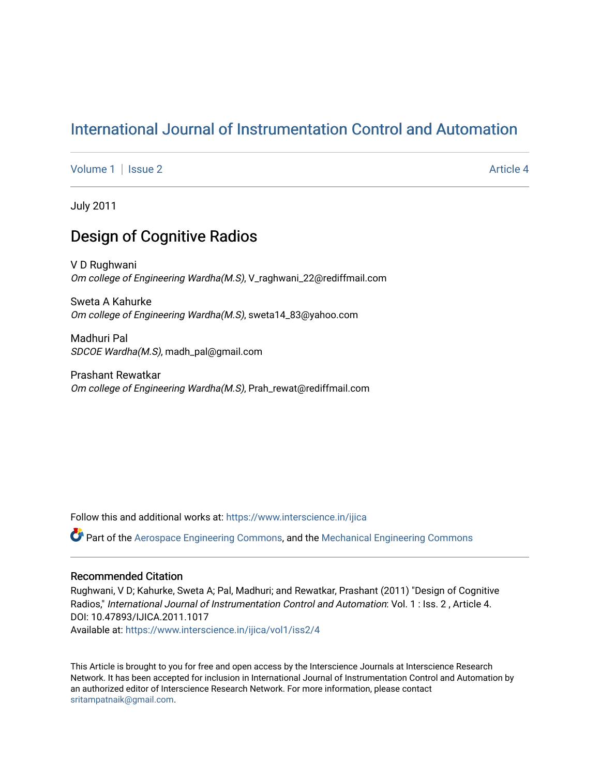# [International Journal of Instrumentation Control and Automation](https://www.interscience.in/ijica)

[Volume 1](https://www.interscience.in/ijica/vol1) | [Issue 2](https://www.interscience.in/ijica/vol1/iss2) Article 4

July 2011

# Design of Cognitive Radios

V D Rughwani Om college of Engineering Wardha(M.S), V\_raghwani\_22@rediffmail.com

Sweta A Kahurke Om college of Engineering Wardha(M.S), sweta14\_83@yahoo.com

Madhuri Pal SDCOE Wardha(M.S), madh\_pal@gmail.com

Prashant Rewatkar Om college of Engineering Wardha(M.S), Prah\_rewat@rediffmail.com

Follow this and additional works at: [https://www.interscience.in/ijica](https://www.interscience.in/ijica?utm_source=www.interscience.in%2Fijica%2Fvol1%2Fiss2%2F4&utm_medium=PDF&utm_campaign=PDFCoverPages) 

Part of the [Aerospace Engineering Commons](http://network.bepress.com/hgg/discipline/218?utm_source=www.interscience.in%2Fijica%2Fvol1%2Fiss2%2F4&utm_medium=PDF&utm_campaign=PDFCoverPages), and the [Mechanical Engineering Commons](http://network.bepress.com/hgg/discipline/293?utm_source=www.interscience.in%2Fijica%2Fvol1%2Fiss2%2F4&utm_medium=PDF&utm_campaign=PDFCoverPages) 

## Recommended Citation

Rughwani, V D; Kahurke, Sweta A; Pal, Madhuri; and Rewatkar, Prashant (2011) "Design of Cognitive Radios," International Journal of Instrumentation Control and Automation: Vol. 1 : Iss. 2, Article 4. DOI: 10.47893/IJICA.2011.1017 Available at: [https://www.interscience.in/ijica/vol1/iss2/4](https://www.interscience.in/ijica/vol1/iss2/4?utm_source=www.interscience.in%2Fijica%2Fvol1%2Fiss2%2F4&utm_medium=PDF&utm_campaign=PDFCoverPages) 

This Article is brought to you for free and open access by the Interscience Journals at Interscience Research Network. It has been accepted for inclusion in International Journal of Instrumentation Control and Automation by an authorized editor of Interscience Research Network. For more information, please contact [sritampatnaik@gmail.com](mailto:sritampatnaik@gmail.com).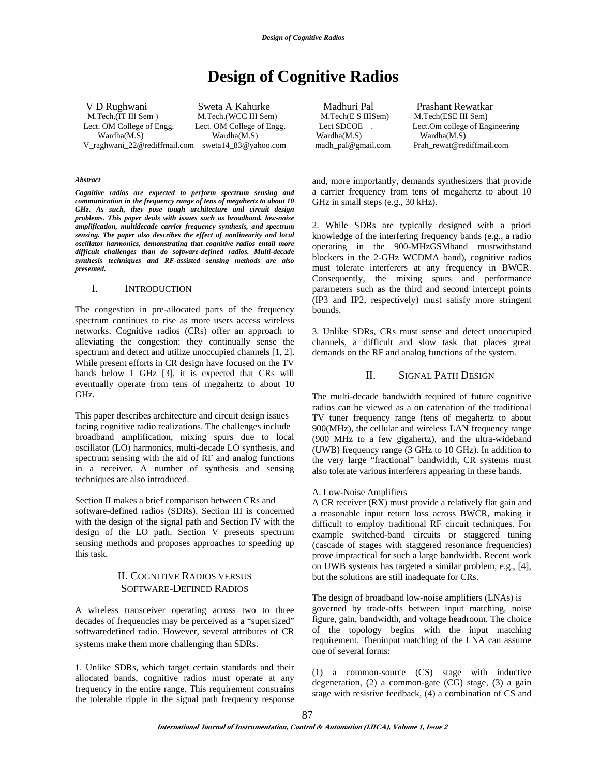# **Design of Cognitive Radios**

V D Rughwani Sweta A Kahurke Madhuri Pal Prashant Rewatkar M.Tech.(IT III Sem ) M.Tech.(WCC III Sem) M.Tech(E S IIISem) M.Tech(ESE III Sem) Lect. OM College of Engg. Lect. OM College of Engg. Lect SDCOE . Lect.Om college of Engineering Wardha(M.S) Wardha(M.S) Wardha(M.S) Wardha(M.S) V\_raghwani\_22@rediffmail.com sweta14\_83@yahoo.com madh\_pal@gmail.com Prah\_rewat@rediffmail.com

*Abstract* 

*Cognitive radios are expected to perform spectrum sensing and communication in the frequency range of tens of megahertz to about 10 GHz. As such, they pose tough architecture and circuit design problems. This paper deals with issues such as broadband, low-noise amplification, multidecade carrier frequency synthesis, and spectrum sensing. The paper also describes the effect of nonlinearity and local oscillator harmonics, demonstrating that cognitive radios entail more difficult challenges than do software-defined radios. Multi-decade synthesis techniques and RF-assisted sensing methods are also presented.* 

#### I. INTRODUCTION

The congestion in pre-allocated parts of the frequency spectrum continues to rise as more users access wireless networks. Cognitive radios (CRs) offer an approach to alleviating the congestion: they continually sense the spectrum and detect and utilize unoccupied channels [1, 2]. While present efforts in CR design have focused on the TV bands below 1 GHz [3], it is expected that CRs will eventually operate from tens of megahertz to about 10 GHz.

This paper describes architecture and circuit design issues facing cognitive radio realizations. The challenges include broadband amplification, mixing spurs due to local oscillator (LO) harmonics, multi-decade LO synthesis, and spectrum sensing with the aid of RF and analog functions in a receiver. A number of synthesis and sensing techniques are also introduced.

Section II makes a brief comparison between CRs and software-defined radios (SDRs). Section III is concerned with the design of the signal path and Section IV with the design of the LO path. Section V presents spectrum sensing methods and proposes approaches to speeding up this task.

## II. COGNITIVE RADIOS VERSUS SOFTWARE-DEFINED RADIOS

A wireless transceiver operating across two to three decades of frequencies may be perceived as a "supersized" softwaredefined radio. However, several attributes of CR systems make them more challenging than SDRs.

1. Unlike SDRs, which target certain standards and their allocated bands, cognitive radios must operate at any frequency in the entire range. This requirement constrains the tolerable ripple in the signal path frequency response

and, more importantly, demands synthesizers that provide a carrier frequency from tens of megahertz to about 10 GHz in small steps (e.g., 30 kHz).

2. While SDRs are typically designed with a priori knowledge of the interfering frequency bands (e.g., a radio operating in the 900-MHzGSMband mustwithstand blockers in the 2-GHz WCDMA band), cognitive radios must tolerate interferers at any frequency in BWCR. Consequently, the mixing spurs and performance parameters such as the third and second intercept points (IP3 and IP2, respectively) must satisfy more stringent bounds.

3. Unlike SDRs, CRs must sense and detect unoccupied channels, a difficult and slow task that places great demands on the RF and analog functions of the system.

### II. SIGNAL PATH DESIGN

The multi-decade bandwidth required of future cognitive radios can be viewed as a on catenation of the traditional TV tuner frequency range (tens of megahertz to about 900(MHz), the cellular and wireless LAN frequency range (900 MHz to a few gigahertz), and the ultra-wideband (UWB) frequency range (3 GHz to 10 GHz). In addition to the very large "fractional" bandwidth, CR systems must also tolerate various interferers appearing in these bands.

#### A. Low-Noise Amplifiers

A CR receiver (RX) must provide a relatively flat gain and a reasonable input return loss across BWCR, making it difficult to employ traditional RF circuit techniques. For example switched-band circuits or staggered tuning (cascade of stages with staggered resonance frequencies) prove impractical for such a large bandwidth. Recent work on UWB systems has targeted a similar problem, e.g., [4], but the solutions are still inadequate for CRs.

The design of broadband low-noise amplifiers (LNAs) is governed by trade-offs between input matching, noise figure, gain, bandwidth, and voltage headroom. The choice of the topology begins with the input matching requirement. Theninput matching of the LNA can assume one of several forms:

(1) a common-source (CS) stage with inductive degeneration, (2) a common-gate (CG) stage, (3) a gain stage with resistive feedback, (4) a combination of CS and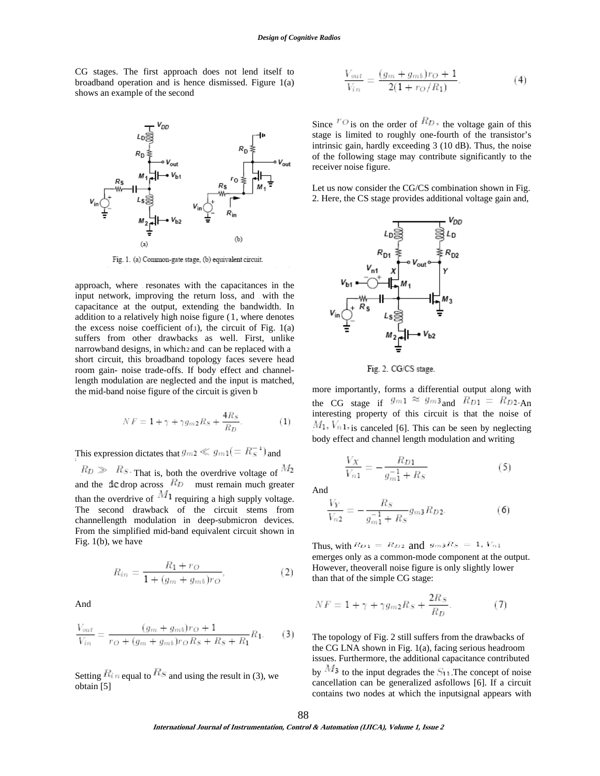CG stages. The first approach does not lend itself to broadband operation and is hence dismissed. Figure 1(a) shows an example of the second



Fig. 1. (a) Common-gate stage, (b) equivalent circuit.

approach, where resonates with the capacitances in the input network, improving the return loss, and with the capacitance at the output, extending the bandwidth. In addition to a relatively high noise figure  $(1,$  where denotes the excess noise coefficient of $1$ ), the circuit of Fig.  $1(a)$ suffers from other drawbacks as well. First, unlike narrowband designs, in which 2 and can be replaced with a short circuit, this broadband topology faces severe head room gain- noise trade-offs. If body effect and channellength modulation are neglected and the input is matched, the mid-band noise figure of the circuit is given b

$$
NF = 1 + \gamma + \gamma g_{m2} R_S + \frac{4R_S}{R_D}.
$$
 (1)

This expression dictates that  $g_{m2} \ll g_{m1} (= R_S^{-1})$  and

 $R_D \gg R_S$ . That is, both the overdrive voltage of  $M_2$ and the dc drop across  $R_D$  must remain much greater than the overdrive of  $M_1$  requiring a high supply voltage. The second drawback of the circuit stems from channellength modulation in deep-submicron devices. From the simplified mid-band equivalent circuit shown in Fig. 1(b), we have

$$
R_{in} = \frac{R_1 + r_O}{1 + (g_m + g_{mb})r_O},\tag{2}
$$

And

$$
\frac{V_{out}}{V_{in}} = \frac{(g_m + g_{mb})r_O + 1}{r_O + (g_m + g_{mb})r_O R_S + R_S + R_1} R_1.
$$
 (3)

Setting  $R_{in}$  equal to  $R_{\rm s}$  and using the result in (3), we obtain [5]

$$
\frac{V_{out}}{V_{in}} = \frac{(g_m + g_{mb})r_O + 1}{2(1 + r_O/R_1)}.
$$
(4)

Since  ${}^{r_{\mathcal{O}}}$  is on the order of  ${}^{R_D}$ , the voltage gain of this stage is limited to roughly one-fourth of the transistor's intrinsic gain, hardly exceeding 3 (10 dB). Thus, the noise of the following stage may contribute significantly to the receiver noise figure.

Let us now consider the CG/CS combination shown in Fig. 2. Here, the CS stage provides additional voltage gain and,



Fig. 2. CG/CS stage.

more importantly, forms a differential output along with the CG stage if  $g_{m1} \approx g_{m3}$  and  $R_{D1} = R_{D2}$ . interesting property of this circuit is that the noise of  $M_1$ ,  $V_n$ 1, is canceled [6]. This can be seen by neglecting body effect and channel length modulation and writing

$$
\frac{V_X}{V_{n1}} = -\frac{R_{D1}}{g_{m1}^{-1} + R_S} \tag{5}
$$

And

$$
\frac{V_Y}{V_{n2}} = -\frac{R_S}{g_{m1}^{-1} + R_S} g_{m3} R_{D2}.
$$
 (6)

Thus, with  $R_{D1} = R_{D2}$  and  $g_{m3}R_S = 1$ ,  $V_{n1}$ emerges only as a common-mode component at the output. However, theoverall noise figure is only slightly lower than that of the simple CG stage:

$$
NF = 1 + \gamma + \gamma g_{m2} R_S + \frac{2R_S}{R_D}.\tag{7}
$$

The topology of Fig. 2 still suffers from the drawbacks of the CG LNA shown in Fig. 1(a), facing serious headroom issues. Furthermore, the additional capacitance contributed by  $M_3$  to the input degrades the  $S_{11}$ . The concept of noise cancellation can be generalized asfollows [6]. If a circuit contains two nodes at which the inputsignal appears with

**International Journal of Instrumentation, Control & Automation (IJICA), Volume 1, Issue 2**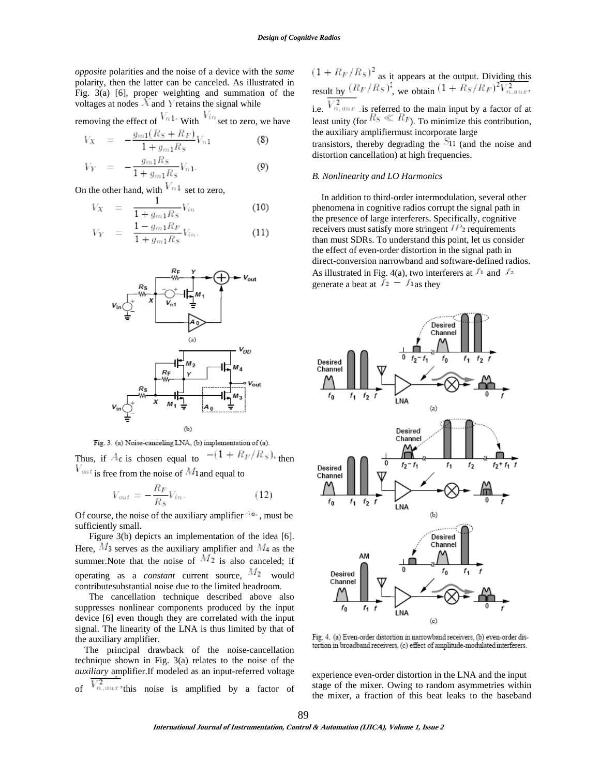*opposite* polarities and the noise of a device with the *same*  polarity, then the latter can be canceled. As illustrated in Fig. 3(a) [6], proper weighting and summation of the voltages at nodes  $X$  and Y retains the signal while

removing the effect of  $V_{n_1}$ . With  $V_{in}$  set to zero, we have

$$
V_X = -\frac{g_{m1}(R_S + R_F)}{1 + g_{m1}R_S}V_{n1}
$$
 (8)

$$
V_Y = -\frac{g_{m1}R_S}{1 + g_{m1}R_S}V_{n1}.
$$
 (9)

On the other hand, with  $V_{n1}$  set to zero,

$$
V_X = \frac{1}{1 + g_{m1} R_S} V_{in} \tag{10}
$$

$$
V_Y = \frac{1 - g_{m1} R_F}{1 + g_{m1} R_S} V_{in}.
$$
 (11)





Thus, if  $A_0$  is chosen equal to  $-(1 + R_F/R_S)$ , then  $V_{\text{out}}$  is free from the noise of  $M_1$  and equal to

$$
V_{out} = -\frac{R_F}{R_S} V_{in}.
$$
 (12)

Of course, the noise of the auxiliary amplifier  $4\degree$ , must be sufficiently small.

Figure 3(b) depicts an implementation of the idea [6]. Here,  $M_3$  serves as the auxiliary amplifier and  $M_4$  as the summer. Note that the noise of  $M_2$  is also canceled; if operating as a *constant* current source,  $M_2$  would contributesubstantial noise due to the limited headroom.

 The cancellation technique described above also suppresses nonlinear components produced by the input device [6] even though they are correlated with the input signal. The linearity of the LNA is thus limited by that of the auxiliary amplifier.

 The principal drawback of the noise-cancellation technique shown in Fig. 3(a) relates to the noise of the *auxiliary* amplifier.If modeled as an input-referred voltage of  $\overline{V_{n,\text{aux}}^2}$  this noise is amplified by a factor of  $(1 + R_F/R_S)^2$  as it appears at the output. Dividing this result by  $(R_F/R_S)^2$ , we obtain  $(1 + R_S/R_F)^2 \overline{V_{n,aux}^2}$ , i.e.  $\sqrt[n]{n}$  aux is referred to the main input by a factor of at least unity (for  $\frac{H_S \ll H_F}{\sim}$ ). To minimize this contribution, the auxiliary amplifiermust incorporate large transistors, thereby degrading the  $\frac{S_{11}}{S_{11}}$  (and the noise and distortion cancellation) at high frequencies.

### *B. Nonlinearity and LO Harmonics*

 In addition to third-order intermodulation, several other phenomena in cognitive radios corrupt the signal path in the presence of large interferers. Specifically, cognitive receivers must satisfy more stringent  $IP<sub>2</sub>$  requirements than must SDRs. To understand this point, let us consider the effect of even-order distortion in the signal path in direct-conversion narrowband and software-defined radios. As illustrated in Fig. 4(a), two interferers at  $f_1$  and  $f_2$ generate a beat at  $f_2 - f_1$  as they



Fig. 4. (a) Even-order distortion in narrowband receivers, (b) even-order distortion in broadband receivers, (c) effect of amplitude-modulated interferers.

experience even-order distortion in the LNA and the input stage of the mixer. Owing to random asymmetries within the mixer, a fraction of this beat leaks to the baseband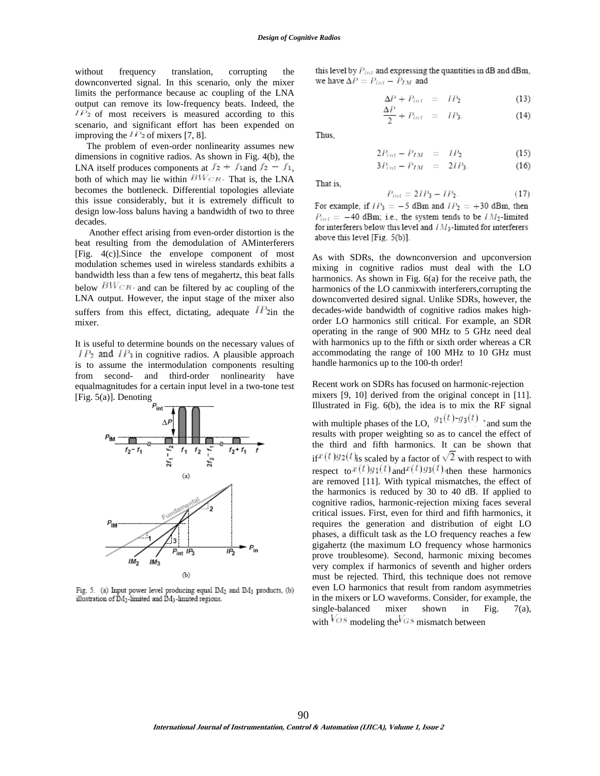without frequency translation, corrupting the downconverted signal. In this scenario, only the mixer limits the performance because ac coupling of the LNA output can remove its low-frequency beats. Indeed, the  $IP<sub>2</sub>$  of most receivers is measured according to this scenario, and significant effort has been expended on improving the  $^{IP_2}$  of mixers [7, 8].

 The problem of even-order nonlinearity assumes new dimensions in cognitive radios. As shown in Fig. 4(b), the LNA itself produces components at  $f_2 + f_1$  and  $f_2 - f_1$ , both of which may lie within  $B W_{CR}$ . That is, the LNA becomes the bottleneck. Differential topologies alleviate this issue considerably, but it is extremely difficult to design low-loss baluns having a bandwidth of two to three decades.

 Another effect arising from even-order distortion is the beat resulting from the demodulation of AMinterferers [Fig. 4(c)].Since the envelope component of most modulation schemes used in wireless standards exhibits a bandwidth less than a few tens of megahertz, this beat falls below  $B W_{CR}$  and can be filtered by ac coupling of the LNA output. However, the input stage of the mixer also suffers from this effect, dictating, adequate  $IP_{2\text{in}}$  the mixer.

It is useful to determine bounds on the necessary values of  $IP_2$  and  $IP_3$  in cognitive radios. A plausible approach is to assume the intermodulation components resulting from second- and third-order nonlinearity have equalmagnitudes for a certain input level in a two-tone test [Fig. 5(a)]. Denoting



Fig. 5. (a) Input power level producing equal IM<sub>2</sub> and IM<sub>3</sub> products, (b) illustration of IM<sub>2</sub>-limited and IM<sub>3</sub>-limited regions.

this level by  $P_{int}$  and expressing the quantities in dB and dBm, we have  $\Delta P = P_{int} - P_{IM}$  and

$$
\Delta P + P_{int} = IP_2 \tag{13}
$$

$$
\frac{\Delta P}{2} + P_{int} = IP_3. \tag{14}
$$

Thus.

$$
2P_{int} - P_{IM} = IP_2 \tag{15}
$$

$$
3P_{int} - P_{IM} = 2IP_3. \tag{16}
$$

That is,

$$
P_{int} = 2IP_3 - IP_2. \tag{17}
$$

For example, if  $IP_3 = -5$  dBm and  $IP_2 = +30$  dBm, then  $P_{int} = -40$  dBm; i.e., the system tends to be  $IM_2$ -limited for interferers below this level and  $IM_3$ -limited for interferers above this level [Fig. 5(b)].

As with SDRs, the downconversion and upconversion mixing in cognitive radios must deal with the LO harmonics. As shown in Fig. 6(a) for the receive path, the harmonics of the LO canmixwith interferers, corrupting the downconverted desired signal. Unlike SDRs, however, the decades-wide bandwidth of cognitive radios makes highorder LO harmonics still critical. For example, an SDR operating in the range of 900 MHz to 5 GHz need deal with harmonics up to the fifth or sixth order whereas a CR accommodating the range of 100 MHz to 10 GHz must handle harmonics up to the 100-th order!

Recent work on SDRs has focused on harmonic-rejection mixers [9, 10] derived from the original concept in [11]. Illustrated in Fig. 6(b), the idea is to mix the RF signal with multiple phases of the LO,  $g_1(t)$ - $g_3(t)$   $\cdot$  and sum the results with proper weighting so as to cancel the effect of the third and fifth harmonics. It can be shown that if  $f(x(t))g_2(t)$  is scaled by a factor of  $\sqrt{2}$  with respect to with respect to  $x(t)g_1(t)$  and  $x(t)g_3(t)$  then these harmonics are removed [11]. With typical mismatches, the effect of the harmonics is reduced by 30 to 40 dB. If applied to cognitive radios, harmonic-rejection mixing faces several critical issues. First, even for third and fifth harmonics, it requires the generation and distribution of eight LO phases, a difficult task as the LO frequency reaches a few gigahertz (the maximum LO frequency whose harmonics prove troublesome). Second, harmonic mixing becomes very complex if harmonics of seventh and higher orders must be rejected. Third, this technique does not remove even LO harmonics that result from random asymmetries in the mixers or LO waveforms. Consider, for example, the single-balanced mixer shown in Fig. 7(a), with  $\sqrt{OS}$  modeling the  $\sqrt{GS}$  mismatch between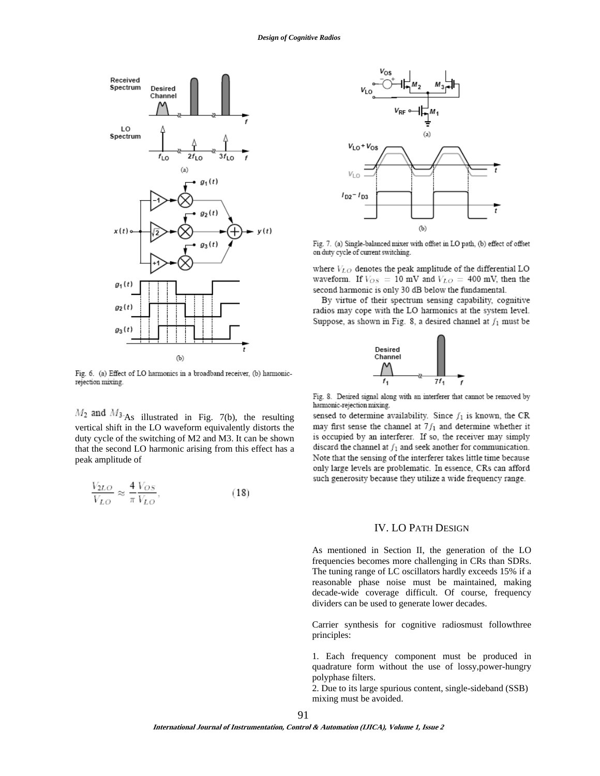

Fig. 6. (a) Effect of LO harmonics in a broadband receiver, (b) harmonicrejection mixing.

 $M_2$  and  $M_3$  As illustrated in Fig. 7(b), the resulting vertical shift in the LO waveform equivalently distorts the duty cycle of the switching of M2 and M3. It can be shown that the second LO harmonic arising from this effect has a peak amplitude of

$$
\frac{V_{2LO}}{V_{LO}} \approx \frac{4}{\pi} \frac{V_{OS}}{V_{LO}},\tag{18}
$$



Fig. 7. (a) Single-balanced mixer with offset in LO path, (b) effect of offset on duty cycle of current switching.

where  $V_{LO}$  denotes the peak amplitude of the differential LO waveform. If  $V_{OS} = 10$  mV and  $V_{LO} = 400$  mV, then the second harmonic is only 30 dB below the fundamental.

By virtue of their spectrum sensing capability, cognitive radios may cope with the LO harmonics at the system level. Suppose, as shown in Fig. 8, a desired channel at  $f_1$  must be



Fig. 8. Desired signal along with an interferer that cannot be removed by harmonic-rejection mixing.

sensed to determine availability. Since  $f_1$  is known, the CR may first sense the channel at  $7f_1$  and determine whether it is occupied by an interferer. If so, the receiver may simply discard the channel at  $f_1$  and seek another for communication. Note that the sensing of the interferer takes little time because only large levels are problematic. In essence, CRs can afford such generosity because they utilize a wide frequency range.

## IV. LO PATH DESIGN

As mentioned in Section II, the generation of the LO frequencies becomes more challenging in CRs than SDRs. The tuning range of LC oscillators hardly exceeds 15% if a reasonable phase noise must be maintained, making decade-wide coverage difficult. Of course, frequency dividers can be used to generate lower decades.

Carrier synthesis for cognitive radiosmust followthree principles:

1. Each frequency component must be produced in quadrature form without the use of lossy,power-hungry polyphase filters.

2. Due to its large spurious content, single-sideband (SSB) mixing must be avoided.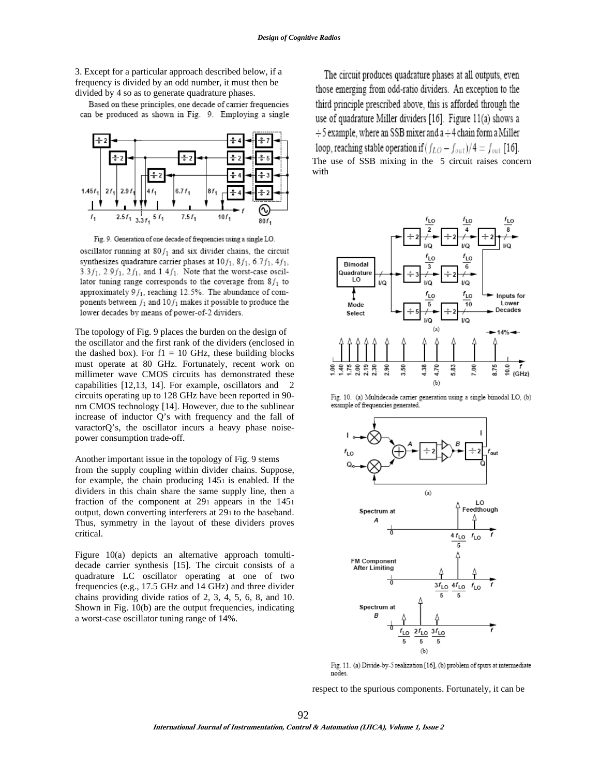3. Except for a particular approach described below, if a frequency is divided by an odd number, it must then be divided by 4 so as to generate quadrature phases.

Based on these principles, one decade of carrier frequencies can be produced as shown in Fig. 9. Employing a single



Fig. 9. Generation of one decade of frequencies using a single LO. oscillator running at  $80f_1$  and six divider chains, the circuit synthesizes quadrature carrier phases at  $10f_1$ ,  $8f_1$ ,  $6.7f_1$ ,  $4f_1$ ,  $3.3f_1$ ,  $2.9f_1$ ,  $2f_1$ , and  $1.4f_1$ . Note that the worst-case oscillator tuning range corresponds to the coverage from  $8f_1$  to approximately  $9f_1$ , reaching 12.5%. The abundance of components between  $f_1$  and  $10f_1$  makes it possible to produce the lower decades by means of power-of-2 dividers.

The topology of Fig. 9 places the burden on the design of the oscillator and the first rank of the dividers (enclosed in the dashed box). For  $f1 = 10$  GHz, these building blocks must operate at 80 GHz. Fortunately, recent work on millimeter wave CMOS circuits has demonstrated these capabilities [12,13, 14]. For example, oscillators and 2 circuits operating up to 128 GHz have been reported in 90 nm CMOS technology [14]. However, due to the sublinear increase of inductor Q's with frequency and the fall of varactorQ's, the oscillator incurs a heavy phase noisepower consumption trade-off.

Another important issue in the topology of Fig. 9 stems from the supply coupling within divider chains. Suppose, for example, the chain producing  $145i$  is enabled. If the dividers in this chain share the same supply line, then a fraction of the component at  $29<sub>1</sub>$  appears in the  $145<sub>1</sub>$ output, down converting interferers at 291 to the baseband. Thus, symmetry in the layout of these dividers proves critical.

Figure 10(a) depicts an alternative approach tomultidecade carrier synthesis [15]. The circuit consists of a quadrature LC oscillator operating at one of two frequencies (e.g., 17.5 GHz and 14 GHz) and three divider chains providing divide ratios of 2, 3, 4, 5, 6, 8, and 10. Shown in Fig. 10(b) are the output frequencies, indicating a worst-case oscillator tuning range of 14%.

The circuit produces quadrature phases at all outputs, even those emerging from odd-ratio dividers. An exception to the third principle prescribed above, this is afforded through the use of quadrature Miller dividers [16]. Figure 11(a) shows a  $\div$  5 example, where an SSB mixer and a  $\div$  4 chain form a Miller loop, reaching stable operation if  $(f_{LO} - f_{out})/4 = f_{out}$  [16]. The use of SSB mixing in the  $5$  circuit raises concern with



Fig. 10. (a) Multidecade carrier generation using a single bimodal LO, (b) example of frequencies generated.



Fig. 11. (a) Divide-by-5 realization [16], (b) problem of spurs at intermediate nodes

respect to the spurious components. Fortunately, it can be

92

**International Journal of Instrumentation, Control & Automation (IJICA), Volume 1, Issue 2**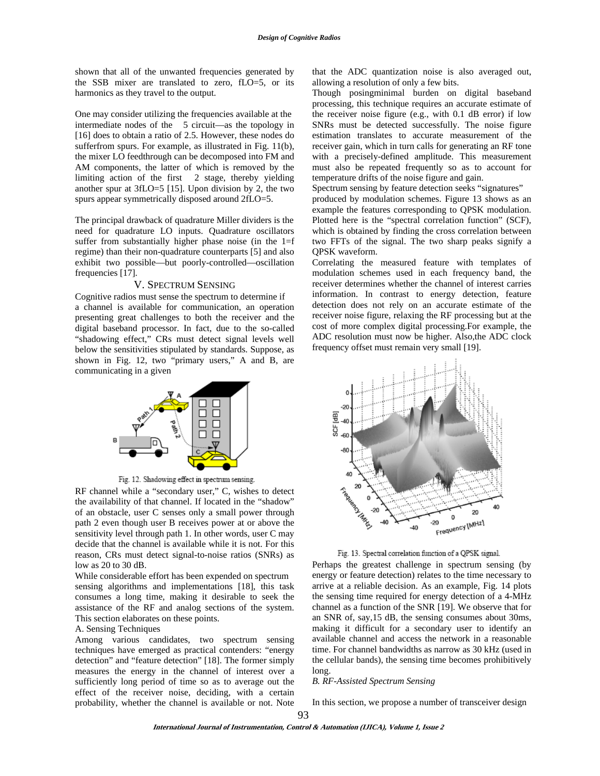shown that all of the unwanted frequencies generated by the SSB mixer are translated to zero, fLO=5, or its harmonics as they travel to the output.

One may consider utilizing the frequencies available at the intermediate nodes of the 5 circuit—as the topology in [16] does to obtain a ratio of 2.5. However, these nodes do sufferfrom spurs. For example, as illustrated in Fig. 11(b), the mixer LO feedthrough can be decomposed into FM and AM components, the latter of which is removed by the limiting action of the first 2 stage, thereby yielding another spur at 3fLO=5 [15]. Upon division by 2, the two spurs appear symmetrically disposed around 2fLO=5.

The principal drawback of quadrature Miller dividers is the need for quadrature LO inputs. Quadrature oscillators suffer from substantially higher phase noise (in the 1=f regime) than their non-quadrature counterparts [5] and also exhibit two possible—but poorly-controlled—oscillation frequencies [17].

### V. SPECTRUM SENSING

Cognitive radios must sense the spectrum to determine if a channel is available for communication, an operation presenting great challenges to both the receiver and the digital baseband processor. In fact, due to the so-called "shadowing effect," CRs must detect signal levels well below the sensitivities stipulated by standards. Suppose, as shown in Fig. 12, two "primary users," A and B, are communicating in a given



Fig. 12. Shadowing effect in spectrum sensing.

RF channel while a "secondary user," C, wishes to detect the availability of that channel. If located in the "shadow" of an obstacle, user C senses only a small power through path 2 even though user B receives power at or above the sensitivity level through path 1. In other words, user C may decide that the channel is available while it is not. For this reason, CRs must detect signal-to-noise ratios (SNRs) as low as 20 to 30 dB.

While considerable effort has been expended on spectrum sensing algorithms and implementations [18], this task consumes a long time, making it desirable to seek the assistance of the RF and analog sections of the system. This section elaborates on these points.

#### A. Sensing Techniques

Among various candidates, two spectrum sensing techniques have emerged as practical contenders: "energy detection" and "feature detection" [18]. The former simply measures the energy in the channel of interest over a sufficiently long period of time so as to average out the effect of the receiver noise, deciding, with a certain probability, whether the channel is available or not. Note that the ADC quantization noise is also averaged out, allowing a resolution of only a few bits.

Though posingminimal burden on digital baseband processing, this technique requires an accurate estimate of the receiver noise figure (e.g., with 0.1 dB error) if low SNRs must be detected successfully. The noise figure estimation translates to accurate measurement of the receiver gain, which in turn calls for generating an RF tone with a precisely-defined amplitude. This measurement must also be repeated frequently so as to account for temperature drifts of the noise figure and gain.

Spectrum sensing by feature detection seeks "signatures" produced by modulation schemes. Figure 13 shows as an

example the features corresponding to QPSK modulation. Plotted here is the "spectral correlation function" (SCF), which is obtained by finding the cross correlation between two FFTs of the signal. The two sharp peaks signify a QPSK waveform.

Correlating the measured feature with templates of modulation schemes used in each frequency band, the receiver determines whether the channel of interest carries information. In contrast to energy detection, feature detection does not rely on an accurate estimate of the receiver noise figure, relaxing the RF processing but at the cost of more complex digital processing.For example, the ADC resolution must now be higher. Also,the ADC clock frequency offset must remain very small [19].



Fig. 13. Spectral correlation function of a QPSK signal.

Perhaps the greatest challenge in spectrum sensing (by energy or feature detection) relates to the time necessary to arrive at a reliable decision. As an example, Fig. 14 plots the sensing time required for energy detection of a 4-MHz channel as a function of the SNR [19]. We observe that for an SNR of, say,15 dB, the sensing consumes about 30ms, making it difficult for a secondary user to identify an available channel and access the network in a reasonable time. For channel bandwidths as narrow as 30 kHz (used in the cellular bands), the sensing time becomes prohibitively long.

#### *B. RF-Assisted Spectrum Sensing*

In this section, we propose a number of transceiver design

 $Q<sub>3</sub>$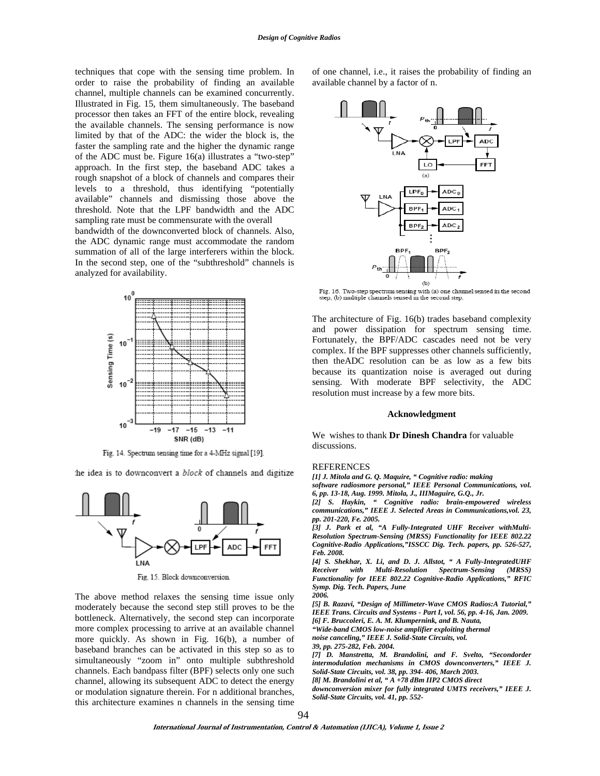techniques that cope with the sensing time problem. In order to raise the probability of finding an available channel, multiple channels can be examined concurrently. Illustrated in Fig. 15, them simultaneously. The baseband processor then takes an FFT of the entire block, revealing the available channels. The sensing performance is now limited by that of the ADC: the wider the block is, the faster the sampling rate and the higher the dynamic range of the ADC must be. Figure 16(a) illustrates a "two-step" approach. In the first step, the baseband ADC takes a rough snapshot of a block of channels and compares their levels to a threshold, thus identifying "potentially available" channels and dismissing those above the threshold. Note that the LPF bandwidth and the ADC sampling rate must be commensurate with the overall

bandwidth of the downconverted block of channels. Also, the ADC dynamic range must accommodate the random summation of all of the large interferers within the block. In the second step, one of the "subthreshold" channels is analyzed for availability.



Fig. 14. Spectrum sensing time for a 4-MHz signal [19].

the idea is to downconvert a block of channels and digitize



Fig. 15. Block downconversion.

The above method relaxes the sensing time issue only moderately because the second step still proves to be the bottleneck. Alternatively, the second step can incorporate more complex processing to arrive at an available channel more quickly. As shown in Fig. 16(b), a number of baseband branches can be activated in this step so as to simultaneously "zoom in" onto multiple subthreshold channels. Each bandpass filter (BPF) selects only one such channel, allowing its subsequent ADC to detect the energy or modulation signature therein. For n additional branches, this architecture examines n channels in the sensing time of one channel, i.e., it raises the probability of finding an available channel by a factor of n.



Fig. 16. Two-step spectrum sensing with (a) one channel sensed in the second step, (b) multiple channels sensed in the second step.

The architecture of Fig. 16(b) trades baseband complexity and power dissipation for spectrum sensing time. Fortunately, the BPF/ADC cascades need not be very complex. If the BPF suppresses other channels sufficiently, then theADC resolution can be as low as a few bits because its quantization noise is averaged out during sensing. With moderate BPF selectivity, the ADC resolution must increase by a few more bits.

#### **Acknowledgment**

We wishes to thank **Dr Dinesh Chandra** for valuable discussions.

#### **REFERENCES**

*[1] J. Mitola and G. Q. Maquire, " Cognitive radio: making* 

*software radiosmore personal," IEEE Personal Communications, vol. 6, pp. 13-18, Aug. 1999. Mitola, J., IIIMaguire, G.Q., Jr.* 

*[2] S. Haykin, " Cognitive radio: brain-empowered wireless communications," IEEE J. Selected Areas in Communications,vol. 23, pp. 201-220, Fe. 2005.* 

*[3] J. Park et al, "A Fully-Integrated UHF Receiver withMulti-Resolution Spectrum-Sensing (MRSS) Functionality for IEEE 802.22 Cognitive-Radio Applications,"ISSCC Dig. Tech. papers, pp. 526-527, Feb. 2008.* 

*[4] S. Shekhar, X. Li, and D. J. Allstot, " A Fully-IntegratedUHF Receiver with Multi-Resolution Spectrum-Sensing (MRSS) Functionality for IEEE 802.22 Cognitive-Radio Applications," RFIC Symp. Dig. Tech. Papers, June 2006.* 

*[5] B. Razavi, "Design of Millimeter-Wave CMOS Radios:A Tutorial," IEEE Trans. Circuits and Systems - Part I, vol. 56, pp. 4-16, Jan. 2009. [6] F. Bruccoleri, E. A. M. Klumpernink, and B. Nauta, "Wide-band CMOS low-noise amplifier exploiting thermal noise canceling," IEEE J. Solid-State Circuits, vol.* 

*39, pp. 275-282, Feb. 2004.* 

*[7] D. Manstretta, M. Brandolini, and F. Svelto, "Secondorder intermodulation mechanisms in CMOS downconverters," IEEE J. Solid-State Circuits, vol. 38, pp. 394- 406, March 2003.* 

*[8] M. Brandolini et al, " A +78 dBm IIP2 CMOS direct* 

*downconversion mixer for fully integrated UMTS receivers," IEEE J. Solid-State Circuits, vol. 41, pp. 552-* 

94